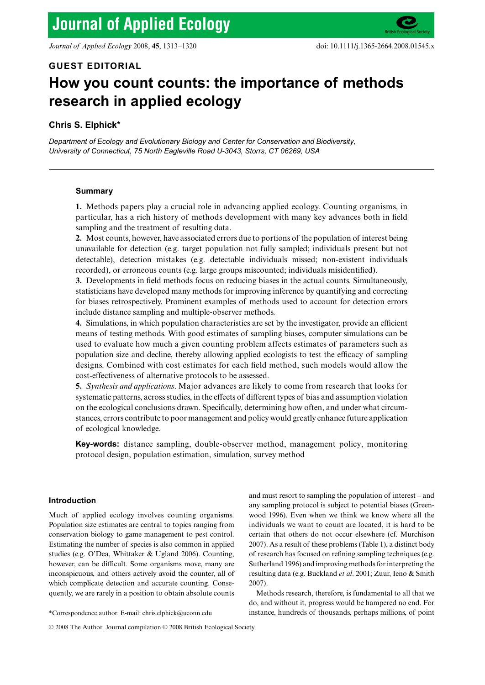## **GUEST EDITORIAL**

# **How you count counts: the importance of methods research in applied ecology**

# **Chris S. Elphick\***

*Department of Ecology and Evolutionary Biology and Center for Conservation and Biodiversity, University of Connecticut, 75 North Eagleville Road U-3043, Storrs, CT 06269, USA*

### **Summary**

**1.** Methods papers play a crucial role in advancing applied ecology. Counting organisms, in particular, has a rich history of methods development with many key advances both in field sampling and the treatment of resulting data.

**2.** Most counts, however, have associated errors due to portions of the population of interest being unavailable for detection (e.g. target population not fully sampled; individuals present but not detectable), detection mistakes (e.g. detectable individuals missed; non-existent individuals recorded), or erroneous counts (e.g. large groups miscounted; individuals misidentified).

**3.** Developments in field methods focus on reducing biases in the actual counts. Simultaneously, statisticians have developed many methods for improving inference by quantifying and correcting for biases retrospectively. Prominent examples of methods used to account for detection errors include distance sampling and multiple-observer methods.

**4.** Simulations, in which population characteristics are set by the investigator, provide an efficient means of testing methods. With good estimates of sampling biases, computer simulations can be used to evaluate how much a given counting problem affects estimates of parameters such as population size and decline, thereby allowing applied ecologists to test the efficacy of sampling designs. Combined with cost estimates for each field method, such models would allow the cost-effectiveness of alternative protocols to be assessed.

**5.** *Synthesis and applications*. Major advances are likely to come from research that looks for systematic patterns, across studies, in the effects of different types of bias and assumption violation on the ecological conclusions drawn. Specifically, determining how often, and under what circumstances, errors contribute to poor management and policy would greatly enhance future application of ecological knowledge.

**Key-words:** distance sampling, double-observer method, management policy, monitoring protocol design, population estimation, simulation, survey method

## **Introduction**

Much of applied ecology involves counting organisms. Population size estimates are central to topics ranging from conservation biology to game management to pest control. Estimating the number of species is also common in applied studies (e.g. O'Dea, Whittaker & Ugland 2006). Counting, however, can be difficult. Some organisms move, many are inconspicuous, and others actively avoid the counter, all of which complicate detection and accurate counting. Consequently, we are rarely in a position to obtain absolute counts

and must resort to sampling the population of interest – and any sampling protocol is subject to potential biases (Greenwood 1996). Even when we think we know where all the individuals we want to count are located, it is hard to be certain that others do not occur elsewhere (cf. Murchison 2007). As a result of these problems (Table 1), a distinct body of research has focused on refining sampling techniques (e.g. Sutherland 1996) and improving methods for interpreting the resulting data (e.g. Buckland *et al*. 2001; Zuur, Ieno & Smith 2007).

Methods research, therefore, is fundamental to all that we do, and without it, progress would be hampered no end. For \*Correspondence author. E-mail: chris.elphick@uconn.edu instance, hundreds of thousands, perhaps millions, of point

<sup>© 2008</sup> The Author. Journal compilation © 2008 British Ecological Society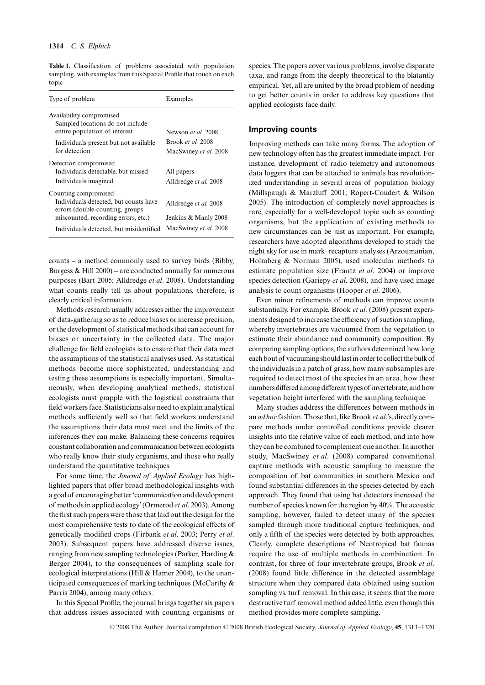**Table 1.** Classification of problems associated with population sampling, with examples from this Special Profile that touch on each topic

| Type of problem                                                                                                                         | Examples                                      |
|-----------------------------------------------------------------------------------------------------------------------------------------|-----------------------------------------------|
| Availability compromised<br>Sampled locations do not include<br>entire population of interest                                           | Newson et al. 2008                            |
| Individuals present but not available<br>for detection                                                                                  | Brook et al. 2008<br>MacSwiney et al. 2008    |
| Detection compromised<br>Individuals detectable, but missed<br>Individuals imagined                                                     | All papers<br>Alldredge et al. 2008           |
| Counting compromised<br>Individuals detected, but counts have<br>errors (double-counting, groups<br>miscounted, recording errors, etc.) | Alldredge et al. 2008<br>Jenkins & Manly 2008 |
| Individuals detected, but misidentified                                                                                                 | MacSwiney et al. 2008                         |

counts – a method commonly used to survey birds (Bibby, Burgess  $& Hill 2000$  – are conducted annually for numerous purposes (Bart 2005; Alldredge *et al*. 2008). Understanding what counts really tell us about populations, therefore, is clearly critical information.

Methods research usually addresses either the improvement of data-gathering so as to reduce biases or increase precision, or the development of statistical methods that can account for biases or uncertainty in the collected data. The major challenge for field ecologists is to ensure that their data meet the assumptions of the statistical analyses used. As statistical methods become more sophisticated, understanding and testing these assumptions is especially important. Simultaneously, when developing analytical methods, statistical ecologists must grapple with the logistical constraints that field workers face. Statisticians also need to explain analytical methods sufficiently well so that field workers understand the assumptions their data must meet and the limits of the inferences they can make. Balancing these concerns requires constant collaboration and communication between ecologists who really know their study organisms, and those who really understand the quantitative techniques.

For some time, the *Journal of Applied Ecology* has highlighted papers that offer broad methodological insights with a goal of encouraging better 'communication and development of methods in applied ecology' (Ormerod *et al*. 2003). Among the first such papers were those that laid out the design for the most comprehensive tests to date of the ecological effects of genetically modified crops (Firbank *et al*. 2003; Perry *et al*. 2003). Subsequent papers have addressed diverse issues, ranging from new sampling technologies (Parker, Harding & Berger 2004), to the consequences of sampling scale for ecological interpretations (Hill & Hamer 2004), to the unanticipated consequences of marking techniques (McCarthy & Parris 2004), among many others.

In this Special Profile, the journal brings together six papers that address issues associated with counting organisms or

species. The papers cover various problems, involve disparate taxa, and range from the deeply theoretical to the blatantly empirical. Yet, all are united by the broad problem of needing to get better counts in order to address key questions that applied ecologists face daily.

## **Improving counts**

Improving methods can take many forms. The adoption of new technology often has the greatest immediate impact. For instance, development of radio telemetry and autonomous data loggers that can be attached to animals has revolutionized understanding in several areas of population biology (Millspaugh & Marzluff 2001; Ropert-Coudert & Wilson 2005). The introduction of completely novel approaches is rare, especially for a well-developed topic such as counting organisms, but the application of existing methods to new circumstances can be just as important. For example, researchers have adopted algorithms developed to study the night sky for use in mark–recapture analyses (Arzoumanian, Holmberg & Norman 2005), used molecular methods to estimate population size (Frantz *et al*. 2004) or improve species detection (Gariepy *et al*. 2008), and have used image analysis to count organisms (Hooper *et al*. 2006).

Even minor refinements of methods can improve counts substantially. For example, Brook *et al*. (2008) present experiments designed to increase the efficiency of suction sampling, whereby invertebrates are vacuumed from the vegetation to estimate their abundance and community composition. By comparing sampling options, the authors determined how long each bout of vacuuming should last in order to collect the bulk of the individuals in a patch of grass, how many subsamples are required to detect most of the species in an area, how these numbers differed among different types of invertebrate, and how vegetation height interfered with the sampling technique.

Many studies address the differences between methods in an *ad hoc* fashion. Those that, like Brook *et al*.'s, directly compare methods under controlled conditions provide clearer insights into the relative value of each method, and into how they can be combined to complement one another. In another study, MacSwiney *et al*. (2008) compared conventional capture methods with acoustic sampling to measure the composition of bat communities in southern Mexico and found substantial differences in the species detected by each approach. They found that using bat detectors increased the number of species known for the region by 40%. The acoustic sampling, however, failed to detect many of the species sampled through more traditional capture techniques, and only a fifth of the species were detected by both approaches. Clearly, complete descriptions of Neotropical bat faunas require the use of multiple methods in combination. In contrast, for three of four invertebrate groups, Brook *et al*. (2008) found little difference in the detected assemblage structure when they compared data obtained using suction sampling vs. turf removal. In this case, it seems that the more destructive turf removal method added little, even though this method provides more complete sampling.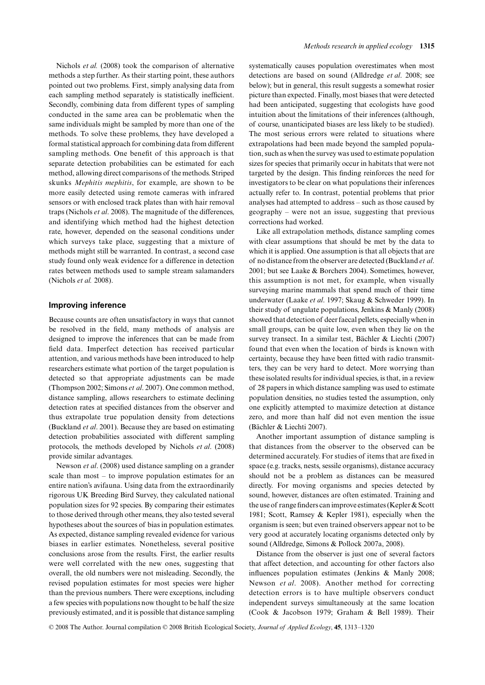Nichols *et al.* (2008) took the comparison of alternative methods a step further. As their starting point, these authors pointed out two problems. First, simply analysing data from each sampling method separately is statistically inefficient. Secondly, combining data from different types of sampling conducted in the same area can be problematic when the same individuals might be sampled by more than one of the methods. To solve these problems, they have developed a formal statistical approach for combining data from different sampling methods. One benefit of this approach is that separate detection probabilities can be estimated for each method, allowing direct comparisons of the methods. Striped skunks *Mephitis mephitis*, for example, are shown to be more easily detected using remote cameras with infrared sensors or with enclosed track plates than with hair removal traps (Nichols *et al*. 2008). The magnitude of the differences, and identifying which method had the highest detection rate, however, depended on the seasonal conditions under which surveys take place, suggesting that a mixture of methods might still be warranted. In contrast, a second case study found only weak evidence for a difference in detection rates between methods used to sample stream salamanders (Nichols *et al.* 2008).

## **Improving inference**

Because counts are often unsatisfactory in ways that cannot be resolved in the field, many methods of analysis are designed to improve the inferences that can be made from field data. Imperfect detection has received particular attention, and various methods have been introduced to help researchers estimate what portion of the target population is detected so that appropriate adjustments can be made (Thompson 2002; Simons *et al*. 2007). One common method, distance sampling, allows researchers to estimate declining detection rates at specified distances from the observer and thus extrapolate true population density from detections (Buckland *et al*. 2001). Because they are based on estimating detection probabilities associated with different sampling protocols, the methods developed by Nichols *et al*. (2008) provide similar advantages.

Newson *et al*. (2008) used distance sampling on a grander scale than most – to improve population estimates for an entire nation's avifauna. Using data from the extraordinarily rigorous UK Breeding Bird Survey, they calculated national population sizes for 92 species. By comparing their estimates to those derived through other means, they also tested several hypotheses about the sources of bias in population estimates. As expected, distance sampling revealed evidence for various biases in earlier estimates. Nonetheless, several positive conclusions arose from the results. First, the earlier results were well correlated with the new ones, suggesting that overall, the old numbers were not misleading. Secondly, the revised population estimates for most species were higher than the previous numbers. There were exceptions, including a few species with populations now thought to be half the size previously estimated, and it is possible that distance sampling

systematically causes population overestimates when most detections are based on sound (Alldredge *et al*. 2008; see below); but in general, this result suggests a somewhat rosier picture than expected. Finally, most biases that were detected had been anticipated, suggesting that ecologists have good intuition about the limitations of their inferences (although, of course, unanticipated biases are less likely to be studied). The most serious errors were related to situations where extrapolations had been made beyond the sampled population, such as when the survey was used to estimate population sizes for species that primarily occur in habitats that were not targeted by the design. This finding reinforces the need for investigators to be clear on what populations their inferences actually refer to. In contrast, potential problems that prior analyses had attempted to address – such as those caused by geography – were not an issue, suggesting that previous corrections had worked.

Like all extrapolation methods, distance sampling comes with clear assumptions that should be met by the data to which it is applied. One assumption is that all objects that are of no distance from the observer are detected (Buckland *et al*. 2001; but see Laake & Borchers 2004). Sometimes, however, this assumption is not met, for example, when visually surveying marine mammals that spend much of their time underwater (Laake *et al*. 1997; Skaug & Schweder 1999). In their study of ungulate populations, Jenkins & Manly (2008) showed that detection of deer faecal pellets, especially when in small groups, can be quite low, even when they lie on the survey transect. In a similar test, Bächler & Liechti (2007) found that even when the location of birds is known with certainty, because they have been fitted with radio transmitters, they can be very hard to detect. More worrying than these isolated results for individual species, is that, in a review of 28 papers in which distance sampling was used to estimate population densities, no studies tested the assumption, only one explicitly attempted to maximize detection at distance zero, and more than half did not even mention the issue (Bächler & Liechti 2007).

Another important assumption of distance sampling is that distances from the observer to the observed can be determined accurately. For studies of items that are fixed in space (e.g. tracks, nests, sessile organisms), distance accuracy should not be a problem as distances can be measured directly. For moving organisms and species detected by sound, however, distances are often estimated. Training and the use of range finders can improve estimates (Kepler & Scott 1981; Scott, Ramsey & Kepler 1981), especially when the organism is seen; but even trained observers appear not to be very good at accurately locating organisms detected only by sound (Alldredge, Simons & Pollock 2007a, 2008).

Distance from the observer is just one of several factors that affect detection, and accounting for other factors also influences population estimates (Jenkins & Manly 2008; Newson *et al*. 2008). Another method for correcting detection errors is to have multiple observers conduct independent surveys simultaneously at the same location (Cook & Jacobson 1979; Graham & Bell 1989). Their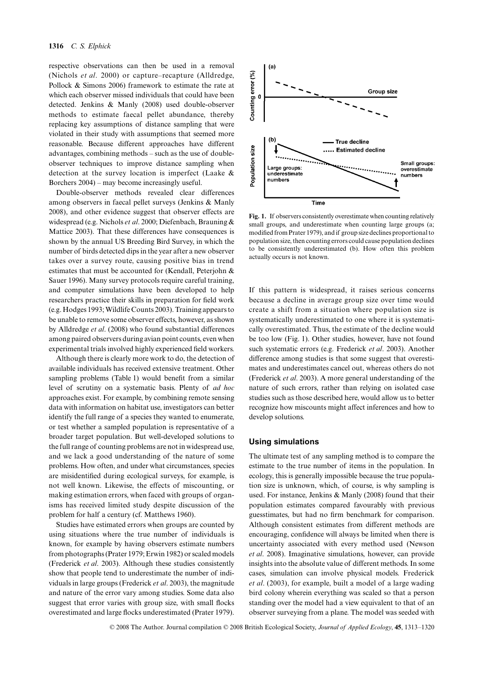respective observations can then be used in a removal (Nichols *et al*. 2000) or capture–recapture (Alldredge, Pollock & Simons 2006) framework to estimate the rate at which each observer missed individuals that could have been detected. Jenkins & Manly (2008) used double-observer methods to estimate faecal pellet abundance, thereby replacing key assumptions of distance sampling that were violated in their study with assumptions that seemed more reasonable. Because different approaches have different advantages, combining methods – such as the use of doubleobserver techniques to improve distance sampling when detection at the survey location is imperfect (Laake & Borchers 2004) – may become increasingly useful.

Double-observer methods revealed clear differences among observers in faecal pellet surveys (Jenkins & Manly 2008), and other evidence suggest that observer effects are widespread (e.g. Nichols *et al*. 2000; Diefenbach, Brauning & Mattice 2003). That these differences have consequences is shown by the annual US Breeding Bird Survey, in which the number of birds detected dips in the year after a new observer takes over a survey route, causing positive bias in trend estimates that must be accounted for (Kendall, Peterjohn & Sauer 1996). Many survey protocols require careful training, and computer simulations have been developed to help researchers practice their skills in preparation for field work (e.g. Hodges 1993; Wildlife Counts 2003). Training appears to be unable to remove some observer effects, however, as shown by Alldredge *et al*. (2008) who found substantial differences among paired observers during avian point counts, even when experimental trials involved highly experienced field workers.

Although there is clearly more work to do, the detection of available individuals has received extensive treatment. Other sampling problems (Table 1) would benefit from a similar level of scrutiny on a systematic basis. Plenty of *ad hoc* approaches exist. For example, by combining remote sensing data with information on habitat use, investigators can better identify the full range of a species they wanted to enumerate, or test whether a sampled population is representative of a broader target population. But well-developed solutions to the full range of counting problems are not in widespread use, and we lack a good understanding of the nature of some problems. How often, and under what circumstances, species are misidentified during ecological surveys, for example, is not well known. Likewise, the effects of miscounting, or making estimation errors, when faced with groups of organisms has received limited study despite discussion of the problem for half a century (cf. Matthews 1960).

Studies have estimated errors when groups are counted by using situations where the true number of individuals is known, for example by having observers estimate numbers from photographs (Prater 1979; Erwin 1982) or scaled models (Frederick *et al*. 2003). Although these studies consistently show that people tend to underestimate the number of individuals in large groups (Frederick *et al*. 2003), the magnitude and nature of the error vary among studies. Some data also suggest that error varies with group size, with small flocks overestimated and large flocks underestimated (Prater 1979).



**Fig. 1.** If observers consistently overestimate when counting relatively small groups, and underestimate when counting large groups (a; modified from Prater 1979), and if group size declines proportional to population size, then counting errors could cause population declines to be consistently underestimated (b). How often this problem actually occurs is not known.

If this pattern is widespread, it raises serious concerns because a decline in average group size over time would create a shift from a situation where population size is systematically underestimated to one where it is systematically overestimated. Thus, the estimate of the decline would be too low (Fig. 1). Other studies, however, have not found such systematic errors (e.g. Frederick *et al*. 2003). Another difference among studies is that some suggest that overestimates and underestimates cancel out, whereas others do not (Frederick *et al*. 2003). A more general understanding of the nature of such errors, rather than relying on isolated case studies such as those described here, would allow us to better recognize how miscounts might affect inferences and how to develop solutions.

### **Using simulations**

The ultimate test of any sampling method is to compare the estimate to the true number of items in the population. In ecology, this is generally impossible because the true population size is unknown, which, of course, is why sampling is used. For instance, Jenkins & Manly (2008) found that their population estimates compared favourably with previous guesstimates, but had no firm benchmark for comparison. Although consistent estimates from different methods are encouraging, confidence will always be limited when there is uncertainty associated with every method used (Newson *et al*. 2008). Imaginative simulations, however, can provide insights into the absolute value of different methods. In some cases, simulation can involve physical models. Frederick *et al*. (2003), for example, built a model of a large wading bird colony wherein everything was scaled so that a person standing over the model had a view equivalent to that of an observer surveying from a plane. The model was seeded with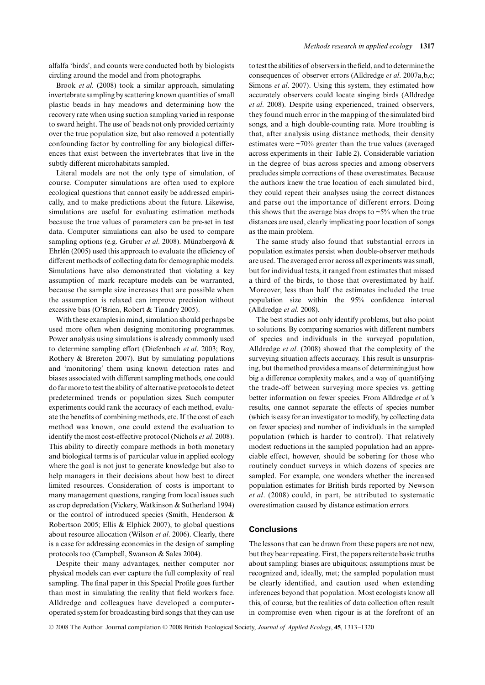Brook *et al.* (2008) took a similar approach, simulating invertebrate sampling by scattering known quantities of small plastic beads in hay meadows and determining how the recovery rate when using suction sampling varied in response to sward height. The use of beads not only provided certainty over the true population size, but also removed a potentially confounding factor by controlling for any biological differences that exist between the invertebrates that live in the subtly different microhabitats sampled.

Literal models are not the only type of simulation, of course. Computer simulations are often used to explore ecological questions that cannot easily be addressed empirically, and to make predictions about the future. Likewise, simulations are useful for evaluating estimation methods because the true values of parameters can be pre-set in test data. Computer simulations can also be used to compare sampling options (e.g. Gruber *et al*. 2008). Münzbergová & Ehrlén (2005) used this approach to evaluate the efficiency of different methods of collecting data for demographic models. Simulations have also demonstrated that violating a key assumption of mark–recapture models can be warranted, because the sample size increases that are possible when the assumption is relaxed can improve precision without excessive bias (O'Brien, Robert & Tiandry 2005).

With these examples in mind, simulation should perhaps be used more often when designing monitoring programmes. Power analysis using simulations is already commonly used to determine sampling effort (Diefenbach *et al*. 2003; Roy, Rothery & Brereton 2007). But by simulating populations and 'monitoring' them using known detection rates and biases associated with different sampling methods, one could do far more to test the ability of alternative protocols to detect predetermined trends or population sizes. Such computer experiments could rank the accuracy of each method, evaluate the benefits of combining methods, etc. If the cost of each method was known, one could extend the evaluation to identify the most cost-effective protocol (Nichols *et al*. 2008). This ability to directly compare methods in both monetary and biological terms is of particular value in applied ecology where the goal is not just to generate knowledge but also to help managers in their decisions about how best to direct limited resources. Consideration of costs is important to many management questions, ranging from local issues such as crop depredation (Vickery, Watkinson & Sutherland 1994) or the control of introduced species (Smith, Henderson & Robertson 2005; Ellis & Elphick 2007), to global questions about resource allocation (Wilson *et al*. 2006). Clearly, there is a case for addressing economics in the design of sampling protocols too (Campbell, Swanson & Sales 2004).

Despite their many advantages, neither computer nor physical models can ever capture the full complexity of real sampling. The final paper in this Special Profile goes further than most in simulating the reality that field workers face. Alldredge and colleagues have developed a computeroperated system for broadcasting bird songs that they can use

to test the abilities of observers in the field, and to determine the consequences of observer errors (Alldredge *et al*. 2007a,b,c; Simons *et al*. 2007). Using this system, they estimated how accurately observers could locate singing birds (Alldredge *et al*. 2008). Despite using experienced, trained observers, they found much error in the mapping of the simulated bird songs, and a high double-counting rate. More troubling is that, after analysis using distance methods, their density estimates were  $\sim 70\%$  greater than the true values (averaged across experiments in their Table 2). Considerable variation in the degree of bias across species and among observers precludes simple corrections of these overestimates. Because the authors knew the true location of each simulated bird, they could repeat their analyses using the correct distances and parse out the importance of different errors. Doing this shows that the average bias drops to  $\sim$ 5% when the true distances are used, clearly implicating poor location of songs as the main problem.

The same study also found that substantial errors in population estimates persist when double-observer methods are used. The averaged error across all experiments was small, but for individual tests, it ranged from estimates that missed a third of the birds, to those that overestimated by half. Moreover, less than half the estimates included the true population size within the 95% confidence interval (Alldredge *et al*. 2008).

The best studies not only identify problems, but also point to solutions. By comparing scenarios with different numbers of species and individuals in the surveyed population, Alldredge *et al*. (2008) showed that the complexity of the surveying situation affects accuracy. This result is unsurprising, but the method provides a means of determining just how big a difference complexity makes, and a way of quantifying the trade-off between surveying more species vs. getting better information on fewer species. From Alldredge *et al.*'s results, one cannot separate the effects of species number (which is easy for an investigator to modify, by collecting data on fewer species) and number of individuals in the sampled population (which is harder to control). That relatively modest reductions in the sampled population had an appreciable effect, however, should be sobering for those who routinely conduct surveys in which dozens of species are sampled. For example, one wonders whether the increased population estimates for British birds reported by Newson *et al*. (2008) could, in part, be attributed to systematic overestimation caused by distance estimation errors.

## **Conclusions**

The lessons that can be drawn from these papers are not new, but they bear repeating. First, the papers reiterate basic truths about sampling: biases are ubiquitous; assumptions must be recognized and, ideally, met; the sampled population must be clearly identified, and caution used when extending inferences beyond that population. Most ecologists know all this, of course, but the realities of data collection often result in compromise even when rigour is at the forefront of an

© 2008 The Author. Journal compilation © 2008 British Ecological Society, *Journal of Applied Ecology*, **45**, 1313–1320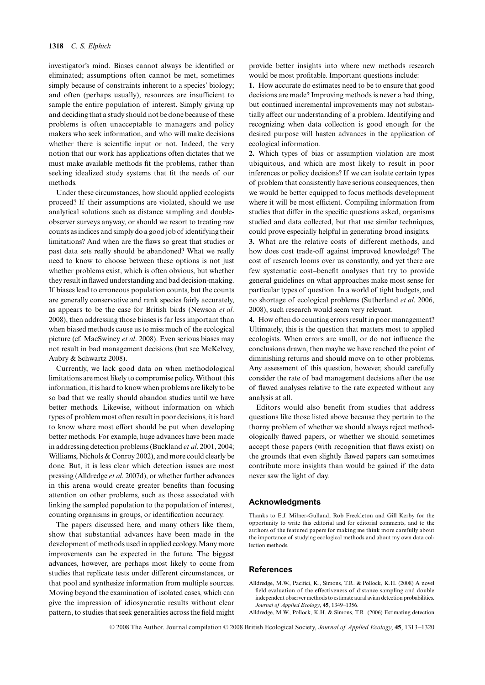investigator's mind. Biases cannot always be identified or eliminated; assumptions often cannot be met, sometimes simply because of constraints inherent to a species' biology; and often (perhaps usually), resources are insufficient to sample the entire population of interest. Simply giving up and deciding that a study should not be done because of these problems is often unacceptable to managers and policy makers who seek information, and who will make decisions whether there is scientific input or not. Indeed, the very notion that our work has applications often dictates that we must make available methods fit the problems, rather than seeking idealized study systems that fit the needs of our methods.

Under these circumstances, how should applied ecologists proceed? If their assumptions are violated, should we use analytical solutions such as distance sampling and doubleobserver surveys anyway, or should we resort to treating raw counts as indices and simply do a good job of identifying their limitations? And when are the flaws so great that studies or past data sets really should be abandoned? What we really need to know to choose between these options is not just whether problems exist, which is often obvious, but whether they result in flawed understanding and bad decision-making. If biases lead to erroneous population counts, but the counts are generally conservative and rank species fairly accurately, as appears to be the case for British birds (Newson *et al*. 2008), then addressing those biases is far less important than when biased methods cause us to miss much of the ecological picture (cf. MacSwiney *et al*. 2008). Even serious biases may not result in bad management decisions (but see McKelvey, Aubry & Schwartz 2008).

Currently, we lack good data on when methodological limitations are most likely to compromise policy. Without this information, it is hard to know when problems are likely to be so bad that we really should abandon studies until we have better methods. Likewise, without information on which types of problem most often result in poor decisions, it is hard to know where most effort should be put when developing better methods. For example, huge advances have been made in addressing detection problems (Buckland *et al*. 2001, 2004; Williams, Nichols & Conroy 2002), and more could clearly be done. But, it is less clear which detection issues are most pressing (Alldredge *et al*. 2007d), or whether further advances in this arena would create greater benefits than focusing attention on other problems, such as those associated with linking the sampled population to the population of interest, counting organisms in groups, or identification accuracy.

The papers discussed here, and many others like them, show that substantial advances have been made in the development of methods used in applied ecology. Many more improvements can be expected in the future. The biggest advances, however, are perhaps most likely to come from studies that replicate tests under different circumstances, or that pool and synthesize information from multiple sources. Moving beyond the examination of isolated cases, which can give the impression of idiosyncratic results without clear pattern, to studies that seek generalities across the field might

provide better insights into where new methods research would be most profitable. Important questions include:

**1.** How accurate do estimates need to be to ensure that good decisions are made? Improving methods is never a bad thing, but continued incremental improvements may not substantially affect our understanding of a problem. Identifying and recognizing when data collection is good enough for the desired purpose will hasten advances in the application of ecological information.

**2.** Which types of bias or assumption violation are most ubiquitous, and which are most likely to result in poor inferences or policy decisions? If we can isolate certain types of problem that consistently have serious consequences, then we would be better equipped to focus methods development where it will be most efficient. Compiling information from studies that differ in the specific questions asked, organisms studied and data collected, but that use similar techniques, could prove especially helpful in generating broad insights.

**3.** What are the relative costs of different methods, and how does cost trade-off against improved knowledge? The cost of research looms over us constantly, and yet there are few systematic cost–benefit analyses that try to provide general guidelines on what approaches make most sense for particular types of question. In a world of tight budgets, and no shortage of ecological problems (Sutherland *et al*. 2006, 2008), such research would seem very relevant.

**4.** How often do counting errors result in poor management? Ultimately, this is the question that matters most to applied ecologists. When errors are small, or do not influence the conclusions drawn, then maybe we have reached the point of diminishing returns and should move on to other problems. Any assessment of this question, however, should carefully consider the rate of bad management decisions after the use of flawed analyses relative to the rate expected without any analysis at all.

Editors would also benefit from studies that address questions like those listed above because they pertain to the thorny problem of whether we should always reject methodologically flawed papers, or whether we should sometimes accept those papers (with recognition that flaws exist) on the grounds that even slightly flawed papers can sometimes contribute more insights than would be gained if the data never saw the light of day.

## **Acknowledgments**

Thanks to E.J. Milner-Gulland, Rob Freckleton and Gill Kerby for the opportunity to write this editorial and for editorial comments, and to the authors of the featured papers for making me think more carefully about the importance of studying ecological methods and about my own data collection methods.

#### **References**

Alldredge, M.W., Pacifici, K., Simons, T.R. & Pollock, K.H. (2008) A novel field evaluation of the effectiveness of distance sampling and double independent observer methods to estimate aural avian detection probabilities. *Journal of Applied Ecology*, **45**, 1349–1356.

© 2008 The Author. Journal compilation © 2008 British Ecological Society, *Journal of Applied Ecology*, **45**, 1313–1320

Alldredge, M.W., Pollock, K.H. & Simons, T.R. (2006) Estimating detection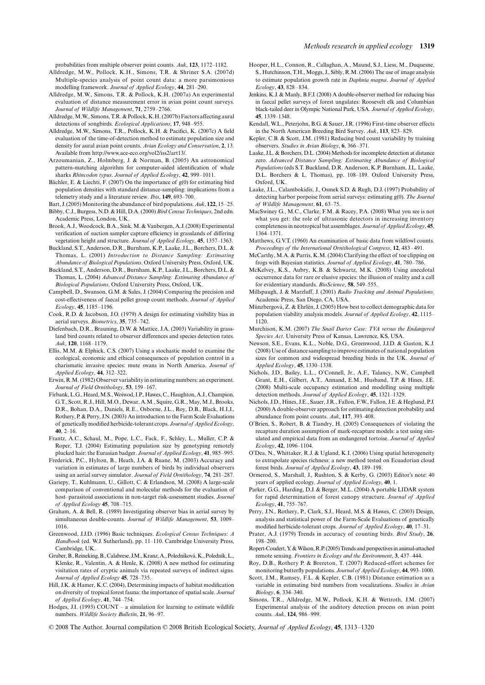- Alldredge, M.W., Pollock, K.H., Simons, T.R. & Shriner S.A. (2007d) Multiple-species analysis of point count data: a more parsimonious modelling framework. *Journal of Applied Ecology*, **44**, 281–290.
- Alldredge, M.W., Simons, T.R. & Pollock, K.H. (2007a) An experimental evaluation of distance measurement error in avian point count surveys. *Journal of Wildlife Management*, **71**, 2759–2766.
- Alldredge, M.W., Simons, T.R. & Pollock, K.H. (2007b) Factors affecting aural detections of songbirds. *Ecological Applications*, **17**, 948–955.
- Alldredge, M.W., Simons, T.R., Pollock, K.H. & Pacifici, K. (2007c) A field evaluation of the time-of-detection method to estimate population size and density for aural avian point counts. *Avian Ecology and Conservation*, **2**, 13. Available from [http://www.ace-eco.org/vol2/iss2/art13/.](http://www.ace-eco.org/vol2/iss2/art13/)
- Arzoumanian, Z., Holmberg, J. & Norman, B. (2005) An astronomical pattern-matching algorithm for computer-aided identification of whale sharks *Rhincodon typus*. *Journal of Applied Ecology*, **42**, 999–1011.
- Bächler, E. & Liechti, F. (2007) On the importance of g(0) for estimating bird population densities with standard distance-sampling: implications from a telemetry study and a literature review. *Ibis*, **149**, 693–700.
- Bart, J. (2005) Monitoring the abundance of bird populations. *Auk*, **122**, 15–25. Bibby, C.J., Burgess, N.D. & Hill, D.A. (2000) *Bird Census Techniques*, 2nd edn.
- Academic Press, London, UK. Brook, A.J., Woodcock, B.A., Sink, M. & Vanbergen, A.J. (2008) Experimental verification of suction sampler capture efficiency in grasslands of differing vegetation height and structure. *Journal of Applied Ecology*, **45**, 1357–1363.
- Buckland, S.T., Anderson, D.R., Burnham, K.P., Laake, J.L., Borchers, D.L. & Thomas, L. (2001) *Introduction to Distance Sampling: Estimating Abundance of Biological Populations*. Oxford University Press, Oxford, UK.
- Buckland, S.T., Anderson, D.R., Burnham, K.P., Laake, J.L., Borchers, D.L. & Thomas, L. (2004) *Advanced Distance Sampling: Estimating Abundance of Biological Populations*. Oxford University Press, Oxford, UK.
- Campbell, D., Swanson, G.M. & Sales, J. (2004) Comparing the precision and cost-effectiveness of faecal pellet group count methods. *Journal of Applied Ecology*, **45**, 1185–1196.
- Cook, R.D. & Jacobson, J.O. (1979) A design for estimating visibility bias in aerial surveys. *Biometrics*, **35**, 735–742.
- Diefenbach, D.R., Brauning, D.W. & Mattice, J.A. (2003) Variability in grassland bird counts related to observer differences and species detection rates. *Auk*, **120**, 1168–1179.
- Ellis, M.M. & Elphick, C.S. (2007) Using a stochastic model to examine the ecological, economic and ethical consequences of population control in a charismatic invasive species: mute swans in North America. *Journal of Applied Ecology*, **44**, 312–322.
- Erwin, R.M. (1982) Observer variability in estimating numbers: an experiment. *Journal of Field Ornithology*, **53**, 159–167.
- Firbank, L.G., Heard, M.S., Woiwod, I.P., Hawes, C., Haughton, A.J., Champion, G.T., Scott, R.J., Hill, M.O., Dewar, A.M., Squire, G.R., May, M.J., Brooks, D.R., Bohan, D.A., Daniels, R.E., Osborne, J.L., Roy, D.B., Black, H.I.J., Rothery, P. & Perry, J.N. (2003) An introduction to the Farm Scale Evaluations of genetically modified herbicide-tolerant crops. *Journal of Applied Ecology*, **40**, 2–16.
- Frantz, A.C., Schaul, M., Pope, L.C., Fack, F., Schley, L., Muller, C.P. & Roper, T.J. (2004) Estimating population size by genotyping remotely plucked hair: the Eurasian badger. *Journal of Applied Ecology*, **41**, 985–995.
- Frederick, P.C., Hylton, B., Heath, J.A. & Ruane, M. (2003) Accuracy and variation in estimates of large numbers of birds by individual observers using an aerial survey simulator. *Journal of Field Ornithology*, **74**, 281–287.
- Gariepy, T., Kuhlmann, U., Gillott, C. & Erlandson, M. (2008) A large-scale comparison of conventional and molecular methods for the evaluation of host–parasitoid associations in non-target risk-assessment studies. *Journal of Applied Ecology* **45**, 708–715.
- Graham, A. & Bell, R. (1989) Investigating observer bias in aerial survey by simultaneous double-counts. *Journal of Wildlife Management*, **53**, 1009– 1016.
- Greenwood, J.J.D. (1996) Basic techniques. *Ecological Census Techniques: A Handbook* (ed. W.J. Sutherland), pp. 11–110. Cambridge University Press, Cambridge, UK.
- Gruber, B., Reineking, B., Calabrese, J.M., Kranz, A., Poledníková, K., Poledník, L., Klenke, R., Valentin, A. & Henle, K. (2008) A new method for estimating visitation rates of cryptic animals via repeated surveys of indirect signs. *Journal of Applied Ecology* **45**, 728–735.
- Hill, J.K. & Hamer, K.C. (2004), Determining impacts of habitat modification on diversity of tropical forest fauna: the importance of spatial scale. *Journal of Applied Ecology*, **41**, 744–754.
- Hodges, J.I. (1993) COUNT a simulation for learning to estimate wildlife numbers. *Wildlife Society Bulletin*, **21**, 96–97.
- Hooper, H.L., Connon, R., Callaghan, A., Maund, S.J., Liess, M., Duquesne, S., Hutchinson, T.H., Moggs, J., Sibly, R.M. (2006) The use of image analysis to estimate population growth rate in *Daphnia magna*. *Journal of Applied Ecology*, **43**, 828–834.
- Jenkins, K.J. & Manly, B.F.J. (2008) A double-observer method for reducing bias in faecal pellet surveys of forest ungulates: Roosevelt elk and Columbian black-tailed deer in Olympic National Park, USA. *Journal of Applied Ecology*, **45**, 1339–1348.
- Kendall, W.L., Peterjohn, B.G. & Sauer, J.R. (1996) First-time observer effects in the North American Breeding Bird Survey. *Auk*, **113**, 823–829.
- Kepler, C.B. & Scott, J.M. (1981) Reducing bird count variability by training observers. *Studies in Avian Biology*, **6**, 366–371.
- Laake, J.L. & Borchers, D.L. (2004) Methods for incomplete detection at distance zero. *Advanced Distance Sampling: Estimating Abundance of Biological Populations* (eds S.T. Buckland, D.R. Anderson, K.P. Burnham, J.L. Laake, D.L. Borchers & L. Thomas), pp. 108–189. Oxford University Press, Oxford, UK.
- Laake, J.L., Calambokidis, J., Osmek S.D. & Rugh, D.J. (1997) Probability of detecting harbor porpoise from aerial surveys: estimating g(0). *The Journal of Wildlife Management*, **61**, 63–75.
- MacSwiney G., M.C., Clarke, F.M. & Racey, P.A. (2008) What you see is not what you get: the role of ultrasonic detectors in increasing inventory completeness in neotropical bat assemblages. *Journal of Applied Ecology*, **45**, 1364–1371.
- Matthews, G.V.T. (1960) An examination of basic data from wildfowl counts. *Proceedings of the International Ornithological Congress*, **12**, 483–491.
- McCarthy, M.A. & Parris, K.M. (2004) Clarifying the effect of toe clipping on frogs with Bayesian statistics. *Journal of Applied Ecology*, **41**, 780–786.
- McKelvey, K.S., Aubry, K.B. & Schwartz, M.K. (2008) Using anecdotal occurrence data for rare or elusive species: the illusion of reality and a call for evidentiary standards. *BioScience*, **58**, 549–555.
- Millspaugh, J. & Marzluff, J. (2001) *Radio Tracking and Animal Populations*. Academic Press, San Diego, CA, USA.
- Münzbergová, Z. & Ehrlén, J. (2005) How best to collect demographic data for population viability analysis models. *Journal of Applied Ecology*, **42**, 1115– 1120.
- Murchison, K.M. (2007) *The Snail Darter Case: TVA versus the Endangered Species Act*. University Press of Kansas, Lawrence, KS, USA.
- Newson, S.E., Evans, K.L., Noble, D.G., Greenwood, J.J.D. & Gaston, K.J. (2008) Use of distance sampling to improve estimates of national population sizes for common and widespread breeding birds in the UK. *Journal of Applied Ecology*, **45**, 1330–1338.
- Nichols, J.D., Bailey, L.L., O'Connell, Jr., A.F., Talancy, N.W., Campbell Grant, E.H., Gilbert, A.T., Annand, E.M., Husband, T.P. & Hines, J.E. (2008) Multi-scale occupancy estimation and modelling using multiple detection methods. *Journal of Applied Ecology*, **45**, 1321–1329.
- Nichols, J.D., Hines, J.E., Sauer, J.R., Fallon, F.W., Fallon, J.E. & Heglund, P.J. (2000) A double-observer approach for estimating detection probability and abundance from point counts. *Auk*, **117**, 393–408.
- O'Brien, S., Robert, B. & Tiandry, H. (2005) Consequences of violating the recapture duration assumption of mark-recapture models: a test using simulated and empirical data from an endangered tortoise. *Journal of Applied Ecology*, **42**, 1096–1104.
- O'Dea, N., Whittaker, R.J. & Ugland, K.I. (2006) Using spatial heterogeneity to extrapolate species richness: a new method tested on Ecuadorian cloud forest birds. *Journal of Applied Ecology*, **43**, 189–198.
- Ormerod, S., Marshall, J., Rushton, S. & Kerby, G. (2003) Editor's note: 40 years of applied ecology. *Journal of Applied Ecology*, **40**, 1.
- Parker, G.G., Harding, D.J. & Berger, M.L. (2004) A portable LIDAR system for rapid determination of forest canopy structure. *Journal of Applied Ecology*, **41**, 755–767.
- Perry, J.N., Rothery, P., Clark, S.J., Heard, M.S. & Hawes, C. (2003) Design, analysis and statistical power of the Farm-Scale Evaluations of genetically modified herbicide-tolerant crops. *Journal of Applied Ecology*, **40**, 17–31.
- Prater, A.J. (1979) Trends in accuracy of counting birds. *Bird Study*, **26**, 198–200.
- Ropert-Coudert, Y. & Wilson, R.P. (2005) Trends and perspectives in animal-attached remote sensing. *Frontiers in Ecology and the Environment*, **3**, 437–444.
- Roy, D.B., Rothery P. & Brereton, T. (2007) Reduced-effort schemes for monitoring butterfly populations. *Journal of Applied Ecology*, **44**, 993–1000.
- Scott, J.M., Ramsey, F.L. & Kepler, C.B. (1981) Distance estimation as a variable in estimating bird numbers from vocalizations. *Studies in Avian Biology*, **6**, 334–340.
- Simons, T.R., Alldredge, M.W., Pollock, K.H. & Wettroth, J.M. (2007) Experimental analysis of the auditory detection process on avian point counts. *Auk*, **124**, 986–999.

© 2008 The Author. Journal compilation © 2008 British Ecological Society, *Journal of Applied Ecology*, **45**, 1313–1320